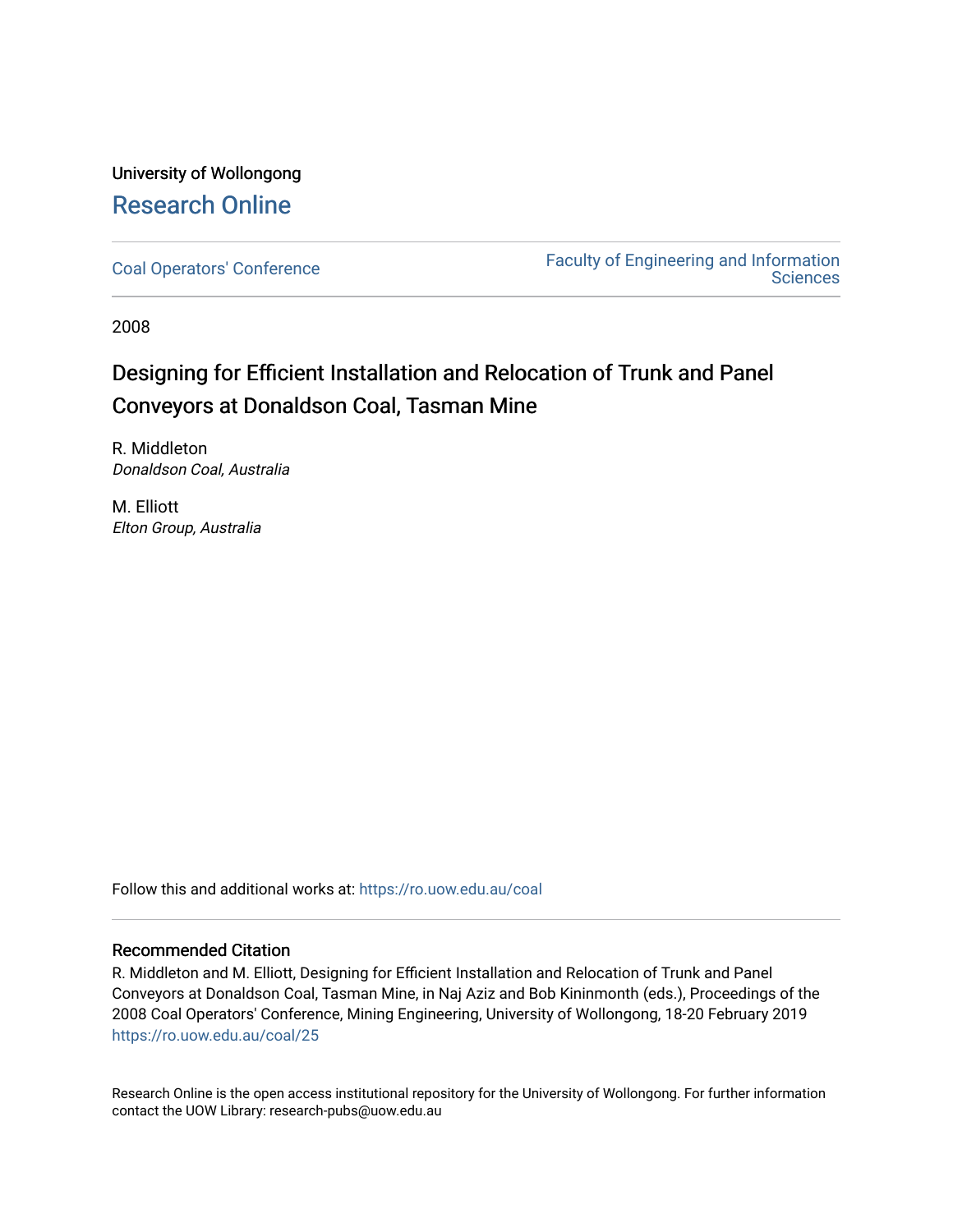University of Wollongong [Research Online](https://ro.uow.edu.au/) 

[Coal Operators' Conference](https://ro.uow.edu.au/coal) [Faculty of Engineering and Information](https://ro.uow.edu.au/eis)  **Sciences** 

2008

# Designing for Efficient Installation and Relocation of Trunk and Panel Conveyors at Donaldson Coal, Tasman Mine

R. Middleton Donaldson Coal, Australia

M. Elliott Elton Group, Australia

Follow this and additional works at: [https://ro.uow.edu.au/coal](https://ro.uow.edu.au/coal?utm_source=ro.uow.edu.au%2Fcoal%2F25&utm_medium=PDF&utm_campaign=PDFCoverPages) 

# Recommended Citation

R. Middleton and M. Elliott, Designing for Efficient Installation and Relocation of Trunk and Panel Conveyors at Donaldson Coal, Tasman Mine, in Naj Aziz and Bob Kininmonth (eds.), Proceedings of the 2008 Coal Operators' Conference, Mining Engineering, University of Wollongong, 18-20 February 2019 [https://ro.uow.edu.au/coal/25](https://ro.uow.edu.au/coal/25?utm_source=ro.uow.edu.au%2Fcoal%2F25&utm_medium=PDF&utm_campaign=PDFCoverPages) 

Research Online is the open access institutional repository for the University of Wollongong. For further information contact the UOW Library: research-pubs@uow.edu.au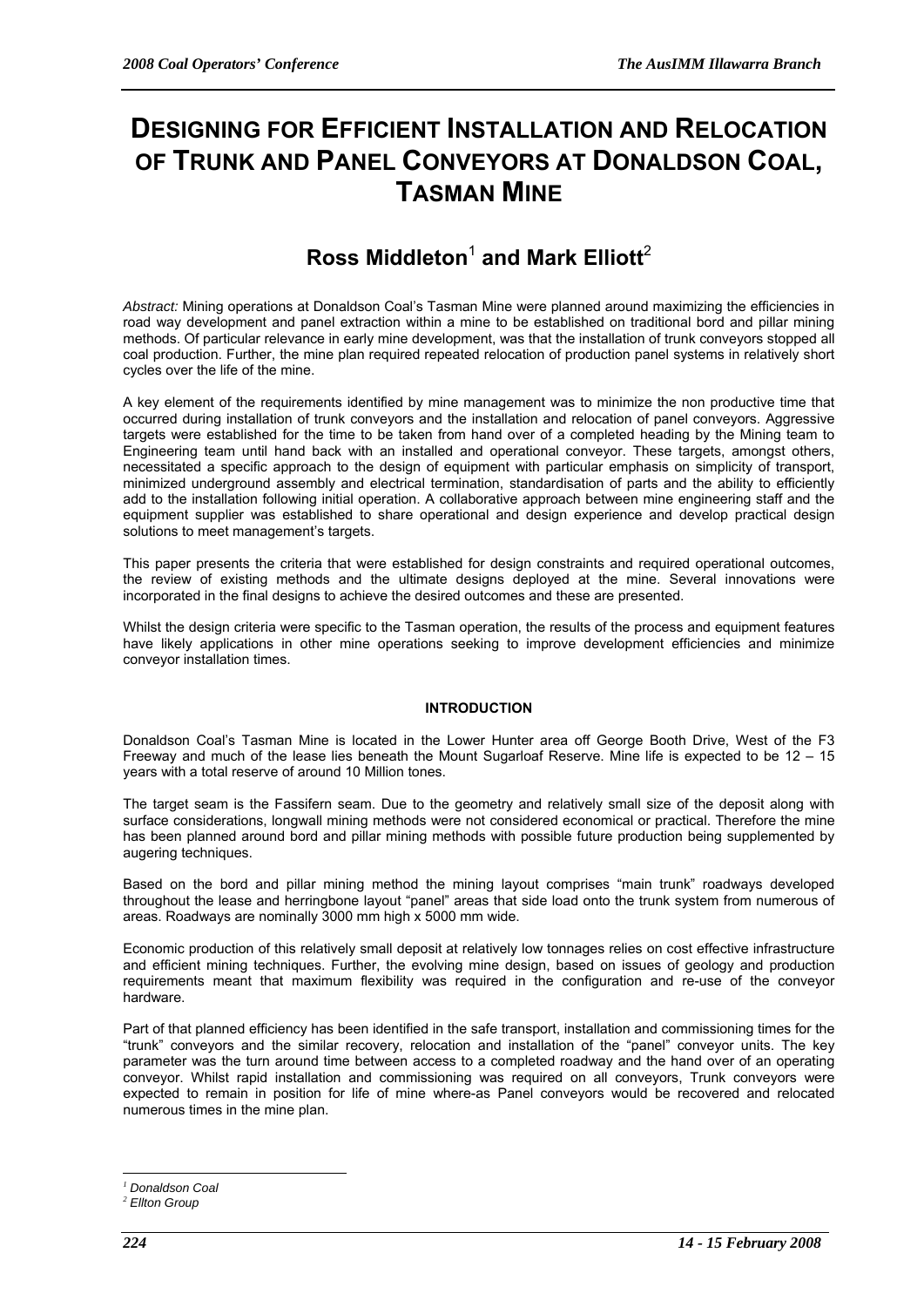# **DESIGNING FOR EFFICIENT INSTALLATION AND RELOCATION OF TRUNK AND PANEL CONVEYORS AT DONALDSON COAL, TASMAN MINE**

# $\mathsf{Ross}\ \mathsf{M}$ iddleton $^1$  and Mark Elliott $^2$

*Abstract:* Mining operations at Donaldson Coal's Tasman Mine were planned around maximizing the efficiencies in road way development and panel extraction within a mine to be established on traditional bord and pillar mining methods. Of particular relevance in early mine development, was that the installation of trunk conveyors stopped all coal production. Further, the mine plan required repeated relocation of production panel systems in relatively short cycles over the life of the mine.

A key element of the requirements identified by mine management was to minimize the non productive time that occurred during installation of trunk conveyors and the installation and relocation of panel conveyors. Aggressive targets were established for the time to be taken from hand over of a completed heading by the Mining team to Engineering team until hand back with an installed and operational conveyor. These targets, amongst others, necessitated a specific approach to the design of equipment with particular emphasis on simplicity of transport, minimized underground assembly and electrical termination, standardisation of parts and the ability to efficiently add to the installation following initial operation. A collaborative approach between mine engineering staff and the equipment supplier was established to share operational and design experience and develop practical design solutions to meet management's targets.

This paper presents the criteria that were established for design constraints and required operational outcomes, the review of existing methods and the ultimate designs deployed at the mine. Several innovations were incorporated in the final designs to achieve the desired outcomes and these are presented.

Whilst the design criteria were specific to the Tasman operation, the results of the process and equipment features have likely applications in other mine operations seeking to improve development efficiencies and minimize conveyor installation times.

# **INTRODUCTION**

Donaldson Coal's Tasman Mine is located in the Lower Hunter area off George Booth Drive, West of the F3 Freeway and much of the lease lies beneath the Mount Sugarloaf Reserve. Mine life is expected to be 12 – 15 years with a total reserve of around 10 Million tones.

The target seam is the Fassifern seam. Due to the geometry and relatively small size of the deposit along with surface considerations, longwall mining methods were not considered economical or practical. Therefore the mine has been planned around bord and pillar mining methods with possible future production being supplemented by augering techniques.

Based on the bord and pillar mining method the mining layout comprises "main trunk" roadways developed throughout the lease and herringbone layout "panel" areas that side load onto the trunk system from numerous of areas. Roadways are nominally 3000 mm high x 5000 mm wide.

Economic production of this relatively small deposit at relatively low tonnages relies on cost effective infrastructure and efficient mining techniques. Further, the evolving mine design, based on issues of geology and production requirements meant that maximum flexibility was required in the configuration and re-use of the conveyor hardware.

Part of that planned efficiency has been identified in the safe transport, installation and commissioning times for the "trunk" conveyors and the similar recovery, relocation and installation of the "panel" conveyor units. The key parameter was the turn around time between access to a completed roadway and the hand over of an operating conveyor. Whilst rapid installation and commissioning was required on all conveyors, Trunk conveyors were expected to remain in position for life of mine where-as Panel conveyors would be recovered and relocated numerous times in the mine plan.

 $\overline{a}$ *<sup>1</sup> Donaldson Coal*

*<sup>2</sup> Ellton Group*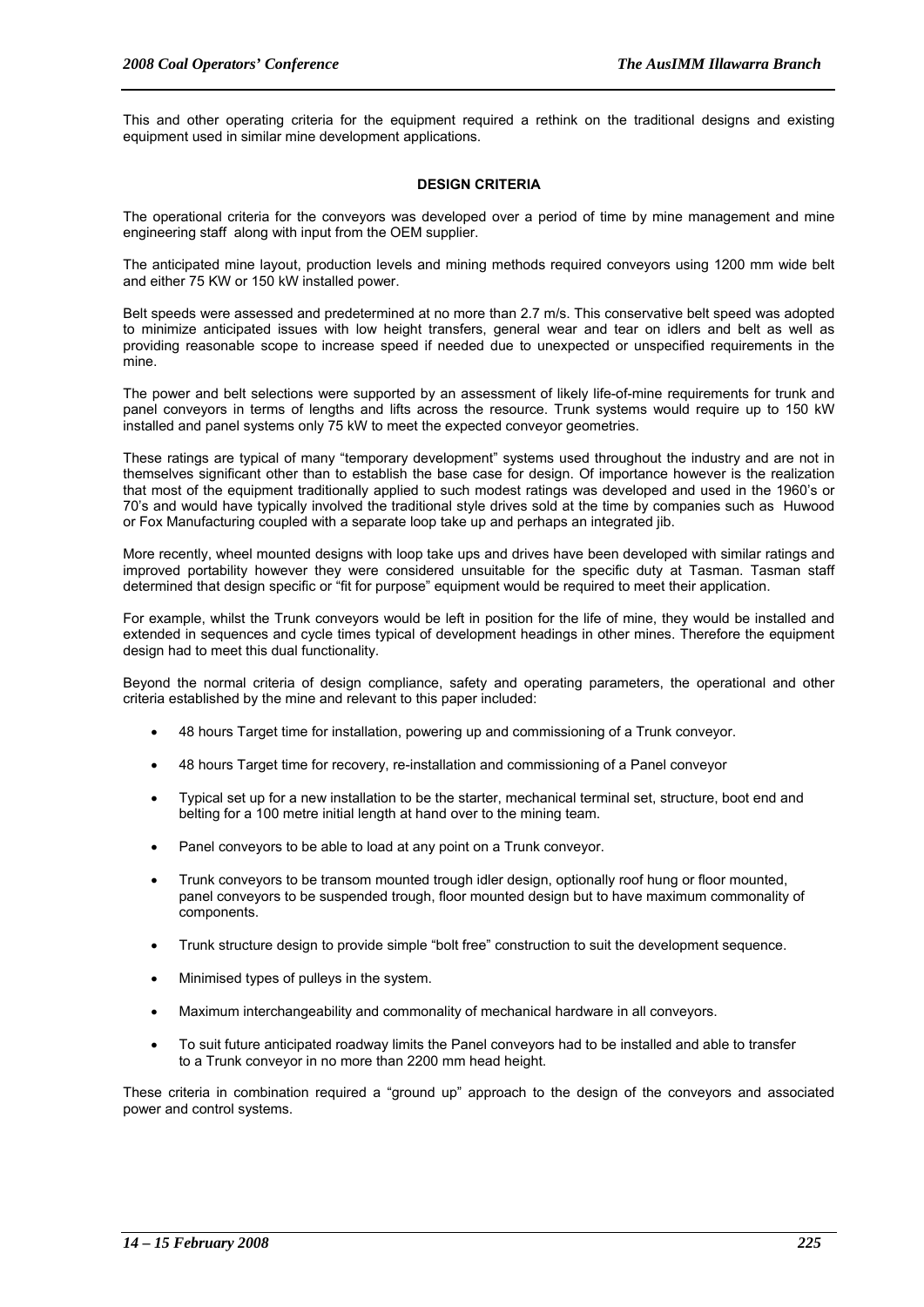This and other operating criteria for the equipment required a rethink on the traditional designs and existing equipment used in similar mine development applications.

# **DESIGN CRITERIA**

The operational criteria for the conveyors was developed over a period of time by mine management and mine engineering staff along with input from the OEM supplier.

The anticipated mine layout, production levels and mining methods required conveyors using 1200 mm wide belt and either 75 KW or 150 kW installed power.

Belt speeds were assessed and predetermined at no more than 2.7 m/s. This conservative belt speed was adopted to minimize anticipated issues with low height transfers, general wear and tear on idlers and belt as well as providing reasonable scope to increase speed if needed due to unexpected or unspecified requirements in the mine.

The power and belt selections were supported by an assessment of likely life-of-mine requirements for trunk and panel conveyors in terms of lengths and lifts across the resource. Trunk systems would require up to 150 kW installed and panel systems only 75 kW to meet the expected conveyor geometries.

These ratings are typical of many "temporary development" systems used throughout the industry and are not in themselves significant other than to establish the base case for design. Of importance however is the realization that most of the equipment traditionally applied to such modest ratings was developed and used in the 1960's or 70's and would have typically involved the traditional style drives sold at the time by companies such as Huwood or Fox Manufacturing coupled with a separate loop take up and perhaps an integrated jib.

More recently, wheel mounted designs with loop take ups and drives have been developed with similar ratings and improved portability however they were considered unsuitable for the specific duty at Tasman. Tasman staff determined that design specific or "fit for purpose" equipment would be required to meet their application.

For example, whilst the Trunk conveyors would be left in position for the life of mine, they would be installed and extended in sequences and cycle times typical of development headings in other mines. Therefore the equipment design had to meet this dual functionality.

Beyond the normal criteria of design compliance, safety and operating parameters, the operational and other criteria established by the mine and relevant to this paper included:

- 48 hours Target time for installation, powering up and commissioning of a Trunk conveyor.
- 48 hours Target time for recovery, re-installation and commissioning of a Panel conveyor
- Typical set up for a new installation to be the starter, mechanical terminal set, structure, boot end and belting for a 100 metre initial length at hand over to the mining team.
- Panel conveyors to be able to load at any point on a Trunk conveyor.
- Trunk conveyors to be transom mounted trough idler design, optionally roof hung or floor mounted, panel conveyors to be suspended trough, floor mounted design but to have maximum commonality of components.
- Trunk structure design to provide simple "bolt free" construction to suit the development sequence.
- Minimised types of pulleys in the system.
- Maximum interchangeability and commonality of mechanical hardware in all conveyors.
- To suit future anticipated roadway limits the Panel conveyors had to be installed and able to transfer to a Trunk conveyor in no more than 2200 mm head height.

These criteria in combination required a "ground up" approach to the design of the conveyors and associated power and control systems.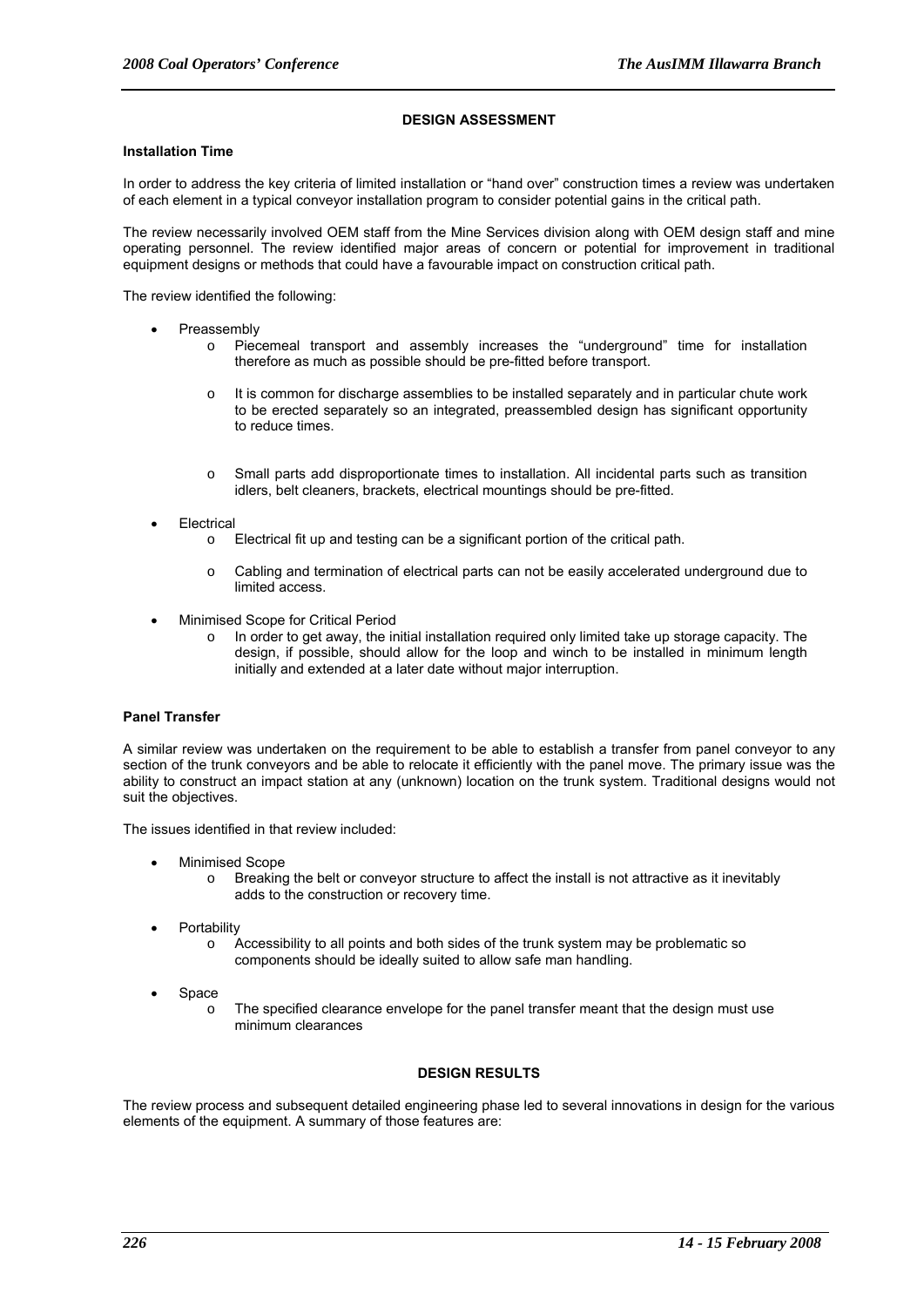#### **DESIGN ASSESSMENT**

#### **Installation Time**

In order to address the key criteria of limited installation or "hand over" construction times a review was undertaken of each element in a typical conveyor installation program to consider potential gains in the critical path.

The review necessarily involved OEM staff from the Mine Services division along with OEM design staff and mine operating personnel. The review identified major areas of concern or potential for improvement in traditional equipment designs or methods that could have a favourable impact on construction critical path.

The review identified the following:

- **Preassembly** 
	- o Piecemeal transport and assembly increases the "underground" time for installation therefore as much as possible should be pre-fitted before transport.
	- $\circ$  It is common for discharge assemblies to be installed separately and in particular chute work to be erected separately so an integrated, preassembled design has significant opportunity to reduce times.
	- o Small parts add disproportionate times to installation. All incidental parts such as transition idlers, belt cleaners, brackets, electrical mountings should be pre-fitted.
- **Electrical** 
	- o Electrical fit up and testing can be a significant portion of the critical path.
	- o Cabling and termination of electrical parts can not be easily accelerated underground due to limited access.
- Minimised Scope for Critical Period
	- o In order to get away, the initial installation required only limited take up storage capacity. The design, if possible, should allow for the loop and winch to be installed in minimum length initially and extended at a later date without major interruption.

# **Panel Transfer**

A similar review was undertaken on the requirement to be able to establish a transfer from panel conveyor to any section of the trunk conveyors and be able to relocate it efficiently with the panel move. The primary issue was the ability to construct an impact station at any (unknown) location on the trunk system. Traditional designs would not suit the objectives.

The issues identified in that review included:

- Minimised Scope
	- Breaking the belt or conveyor structure to affect the install is not attractive as it inevitably adds to the construction or recovery time.
- **Portability** 
	- $\circ$  Accessibility to all points and both sides of the trunk system may be problematic so components should be ideally suited to allow safe man handling.
- **Space** 
	- o The specified clearance envelope for the panel transfer meant that the design must use minimum clearances

#### **DESIGN RESULTS**

The review process and subsequent detailed engineering phase led to several innovations in design for the various elements of the equipment. A summary of those features are: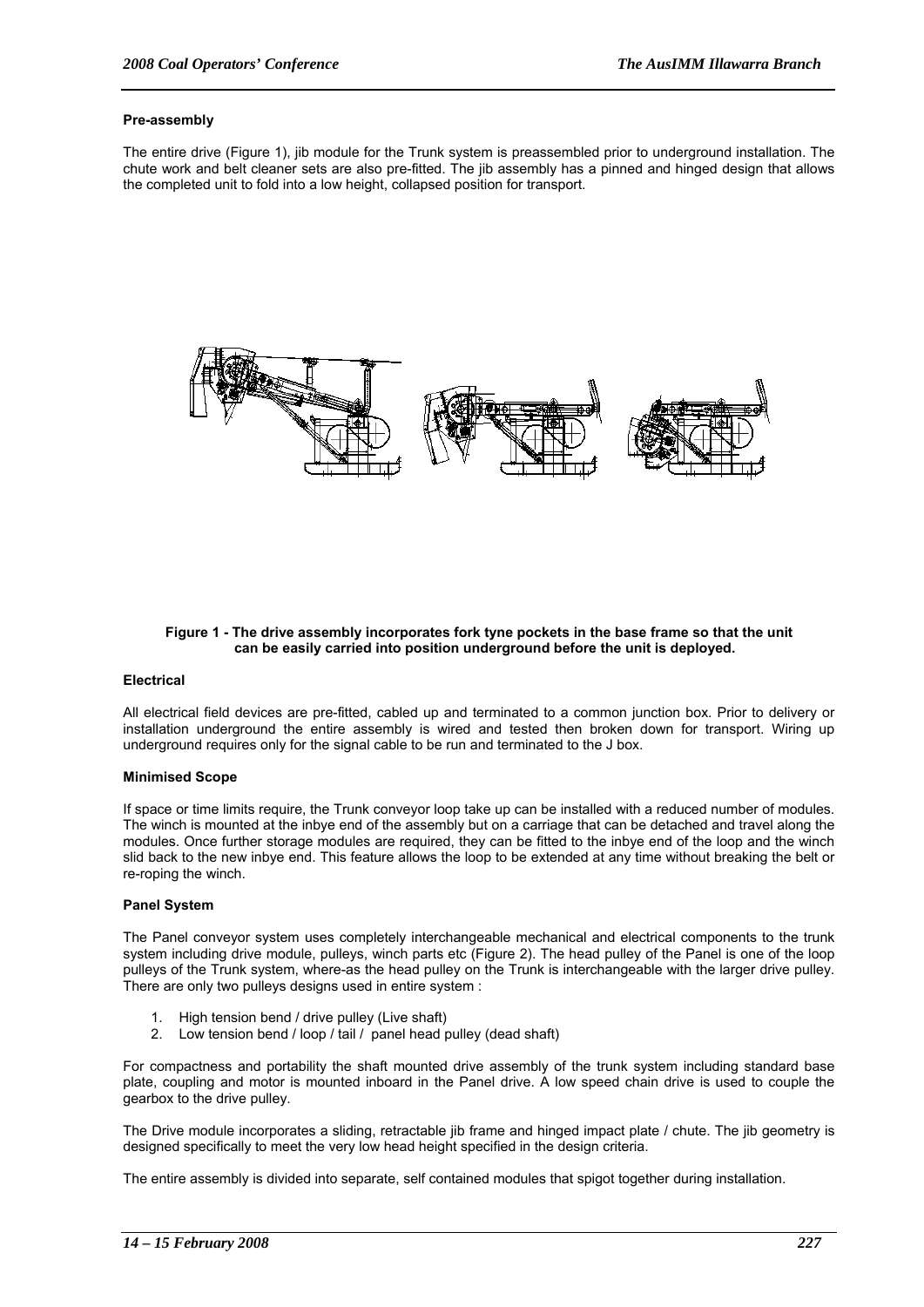#### **Pre-assembly**

The entire drive (Figure 1), jib module for the Trunk system is preassembled prior to underground installation. The chute work and belt cleaner sets are also pre-fitted. The jib assembly has a pinned and hinged design that allows the completed unit to fold into a low height, collapsed position for transport.



#### **Figure 1 - The drive assembly incorporates fork tyne pockets in the base frame so that the unit can be easily carried into position underground before the unit is deployed.**

#### **Electrical**

All electrical field devices are pre-fitted, cabled up and terminated to a common junction box. Prior to delivery or installation underground the entire assembly is wired and tested then broken down for transport. Wiring up underground requires only for the signal cable to be run and terminated to the J box.

### **Minimised Scope**

If space or time limits require, the Trunk conveyor loop take up can be installed with a reduced number of modules. The winch is mounted at the inbye end of the assembly but on a carriage that can be detached and travel along the modules. Once further storage modules are required, they can be fitted to the inbye end of the loop and the winch slid back to the new inbye end. This feature allows the loop to be extended at any time without breaking the belt or re-roping the winch.

#### **Panel System**

The Panel conveyor system uses completely interchangeable mechanical and electrical components to the trunk system including drive module, pulleys, winch parts etc (Figure 2). The head pulley of the Panel is one of the loop pulleys of the Trunk system, where-as the head pulley on the Trunk is interchangeable with the larger drive pulley. There are only two pulleys designs used in entire system :

- 1. High tension bend / drive pulley (Live shaft)
- 2. Low tension bend / loop / tail / panel head pulley (dead shaft)

For compactness and portability the shaft mounted drive assembly of the trunk system including standard base plate, coupling and motor is mounted inboard in the Panel drive. A low speed chain drive is used to couple the gearbox to the drive pulley.

The Drive module incorporates a sliding, retractable jib frame and hinged impact plate / chute. The jib geometry is designed specifically to meet the very low head height specified in the design criteria.

The entire assembly is divided into separate, self contained modules that spigot together during installation.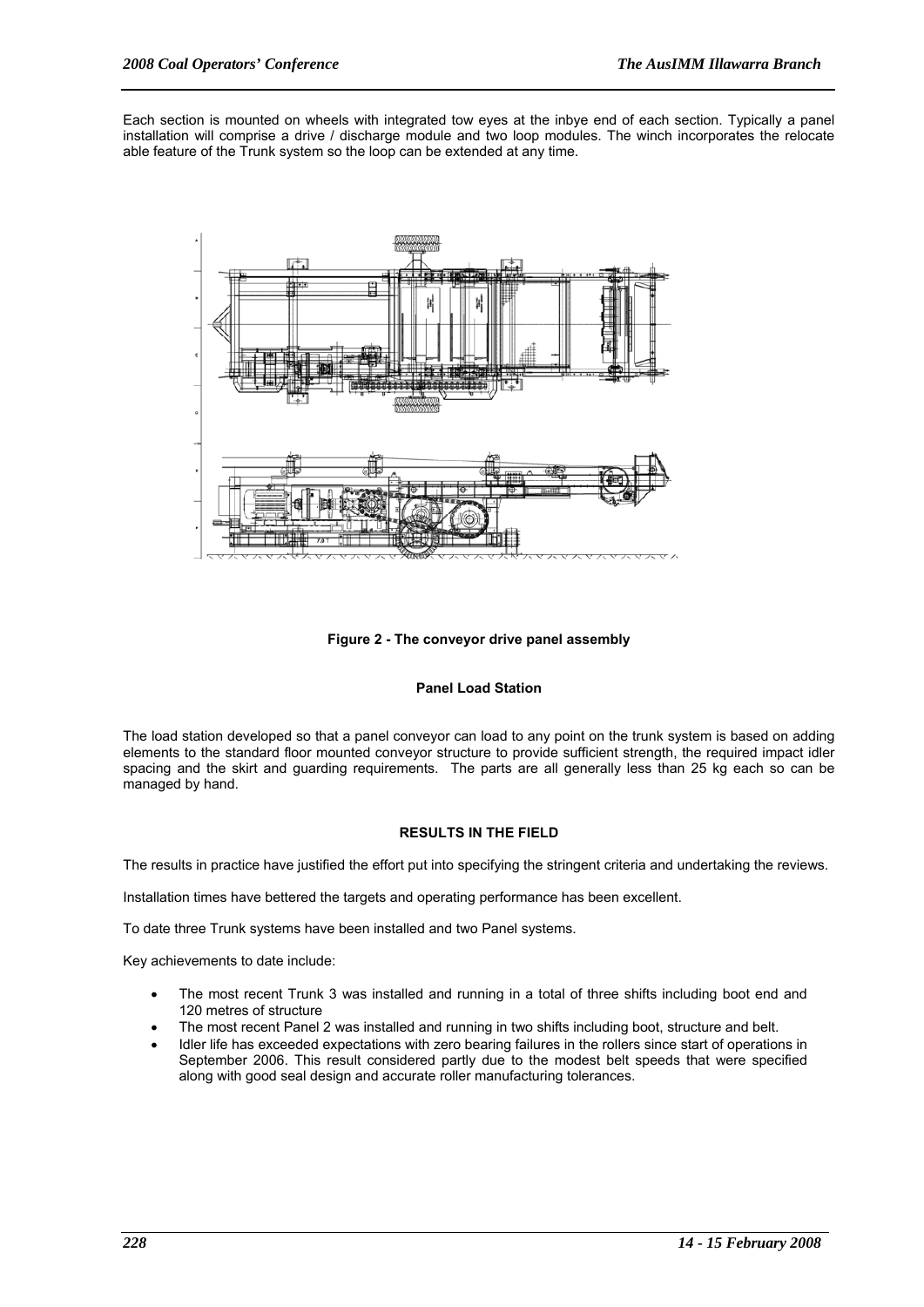Each section is mounted on wheels with integrated tow eyes at the inbye end of each section. Typically a panel installation will comprise a drive / discharge module and two loop modules. The winch incorporates the relocate able feature of the Trunk system so the loop can be extended at any time.



**Figure 2 - The conveyor drive panel assembly** 

# **Panel Load Station**

The load station developed so that a panel conveyor can load to any point on the trunk system is based on adding elements to the standard floor mounted conveyor structure to provide sufficient strength, the required impact idler spacing and the skirt and guarding requirements. The parts are all generally less than 25 kg each so can be managed by hand.

# **RESULTS IN THE FIELD**

The results in practice have justified the effort put into specifying the stringent criteria and undertaking the reviews.

Installation times have bettered the targets and operating performance has been excellent.

To date three Trunk systems have been installed and two Panel systems.

Key achievements to date include:

- The most recent Trunk 3 was installed and running in a total of three shifts including boot end and 120 metres of structure
- The most recent Panel 2 was installed and running in two shifts including boot, structure and belt.
- Idler life has exceeded expectations with zero bearing failures in the rollers since start of operations in September 2006. This result considered partly due to the modest belt speeds that were specified along with good seal design and accurate roller manufacturing tolerances.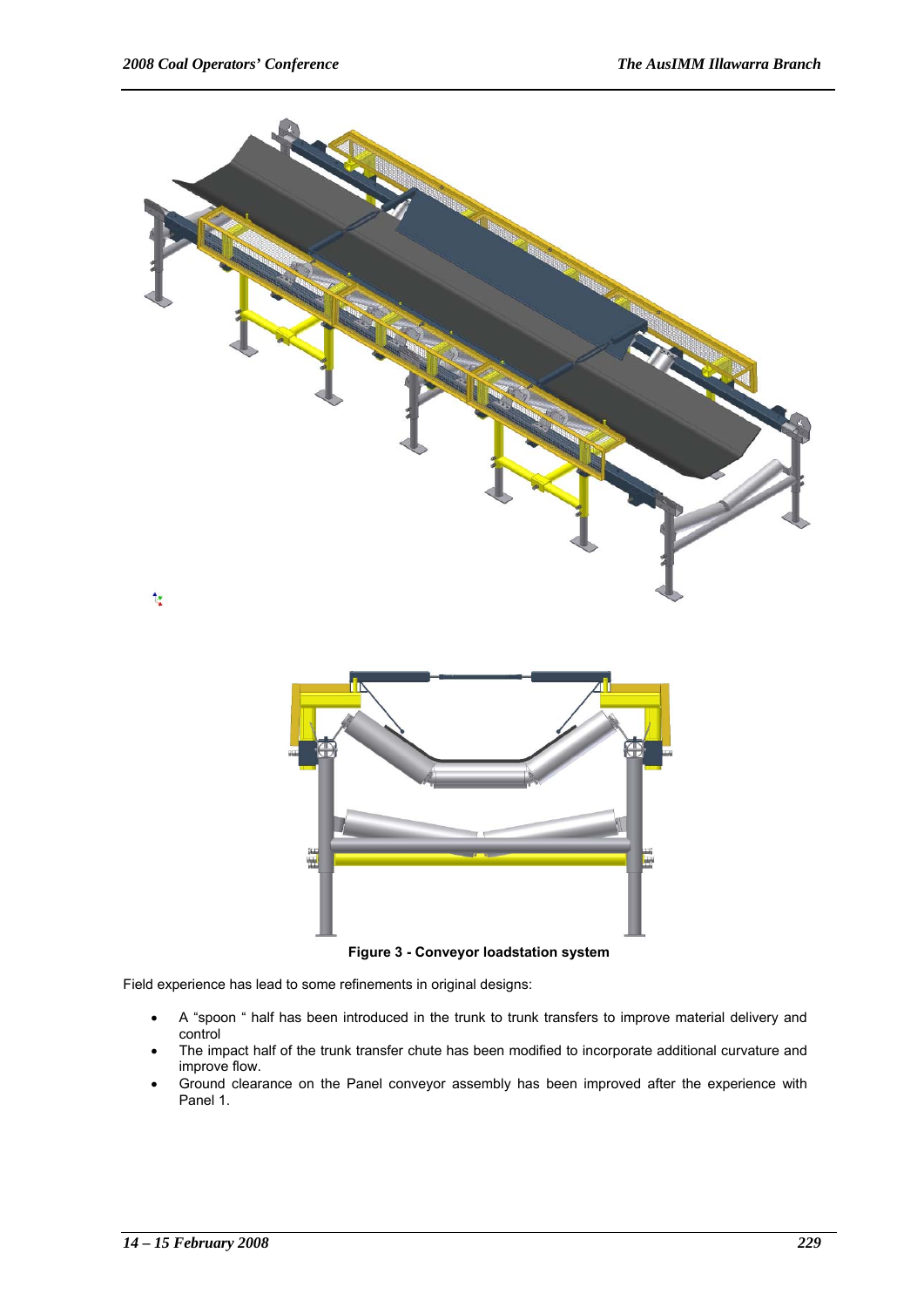

**Figure 3 - Conveyor loadstation system** 

Field experience has lead to some refinements in original designs:

- A "spoon " half has been introduced in the trunk to trunk transfers to improve material delivery and control
- The impact half of the trunk transfer chute has been modified to incorporate additional curvature and improve flow.
- Ground clearance on the Panel conveyor assembly has been improved after the experience with Panel 1.